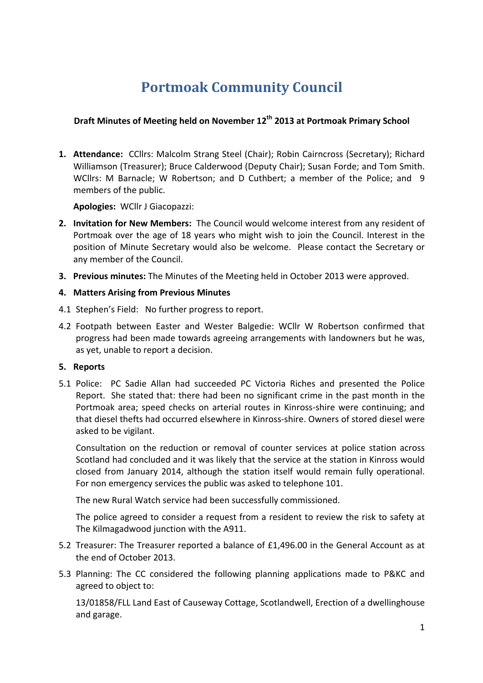# **Portmoak Community Council**

# **Draft Minutes of Meeting held on November 12th 2013 at Portmoak Primary School**

1. Attendance: CCllrs: Malcolm Strang Steel (Chair); Robin Cairncross (Secretary); Richard Williamson (Treasurer); Bruce Calderwood (Deputy Chair); Susan Forde; and Tom Smith. WCllrs: M Barnacle; W Robertson; and D Cuthbert; a member of the Police; and 9 members of the public.

**Apologies: WCllr J Giacopazzi:** 

- **2.** Invitation for New Members: The Council would welcome interest from any resident of Portmoak over the age of 18 years who might wish to join the Council. Interest in the position of Minute Secretary would also be welcome. Please contact the Secretary or any member of the Council.
- **3. Previous minutes:** The Minutes of the Meeting held in October 2013 were approved.

## **4. Matters Arising from Previous Minutes**

- 4.1 Stephen's Field: No further progress to report.
- 4.2 Footpath between Easter and Wester Balgedie: WCllr W Robertson confirmed that progress had been made towards agreeing arrangements with landowners but he was, as yet, unable to report a decision.

#### **5. Reports**

5.1 Police: PC Sadie Allan had succeeded PC Victoria Riches and presented the Police Report. She stated that: there had been no significant crime in the past month in the Portmoak area; speed checks on arterial routes in Kinross-shire were continuing; and that diesel thefts had occurred elsewhere in Kinross-shire. Owners of stored diesel were asked to be vigilant.

Consultation on the reduction or removal of counter services at police station across Scotland had concluded and it was likely that the service at the station in Kinross would closed from January 2014, although the station itself would remain fully operational. For non emergency services the public was asked to telephone 101.

The new Rural Watch service had been successfully commissioned.

The police agreed to consider a request from a resident to review the risk to safety at The Kilmagadwood junction with the A911.

- 5.2 Treasurer: The Treasurer reported a balance of £1,496.00 in the General Account as at the end of October 2013.
- 5.3 Planning: The CC considered the following planning applications made to P&KC and agreed to object to:

13/01858/FLL Land East of Causeway Cottage, Scotlandwell, Erection of a dwellinghouse and garage.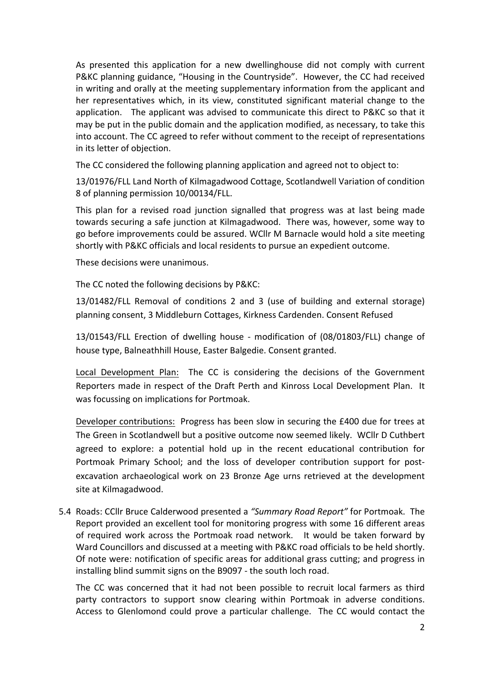As presented this application for a new dwellinghouse did not comply with current P&KC planning guidance, "Housing in the Countryside". However, the CC had received in writing and orally at the meeting supplementary information from the applicant and her representatives which, in its view, constituted significant material change to the application. The applicant was advised to communicate this direct to P&KC so that it may be put in the public domain and the application modified, as necessary, to take this into account. The CC agreed to refer without comment to the receipt of representations in its letter of objection.

The CC considered the following planning application and agreed not to object to:

13/01976/FLL Land North of Kilmagadwood Cottage, Scotlandwell Variation of condition 8 of planning permission 10/00134/FLL.

This plan for a revised road junction signalled that progress was at last being made towards securing a safe junction at Kilmagadwood. There was, however, some way to go before improvements could be assured. WCllr M Barnacle would hold a site meeting shortly with P&KC officials and local residents to pursue an expedient outcome.

These decisions were unanimous.

The CC noted the following decisions by P&KC:

13/01482/FLL Removal of conditions 2 and 3 (use of building and external storage) planning consent, 3 Middleburn Cottages, Kirkness Cardenden. Consent Refused

13/01543/FLL Erection of dwelling house - modification of (08/01803/FLL) change of house type, Balneathhill House, Easter Balgedie. Consent granted.

Local Development Plan: The CC is considering the decisions of the Government Reporters made in respect of the Draft Perth and Kinross Local Development Plan. It was focussing on implications for Portmoak.

Developer contributions: Progress has been slow in securing the £400 due for trees at The Green in Scotlandwell but a positive outcome now seemed likely. WCllr D Cuthbert agreed to explore: a potential hold up in the recent educational contribution for Portmoak Primary School; and the loss of developer contribution support for postexcavation archaeological work on 23 Bronze Age urns retrieved at the development site at Kilmagadwood.

5.4 Roads: CCllr Bruce Calderwood presented a "Summary Road Report" for Portmoak. The Report provided an excellent tool for monitoring progress with some 16 different areas of required work across the Portmoak road network. It would be taken forward by Ward Councillors and discussed at a meeting with P&KC road officials to be held shortly. Of note were: notification of specific areas for additional grass cutting; and progress in installing blind summit signs on the B9097 - the south loch road.

The CC was concerned that it had not been possible to recruit local farmers as third party contractors to support snow clearing within Portmoak in adverse conditions. Access to Glenlomond could prove a particular challenge. The CC would contact the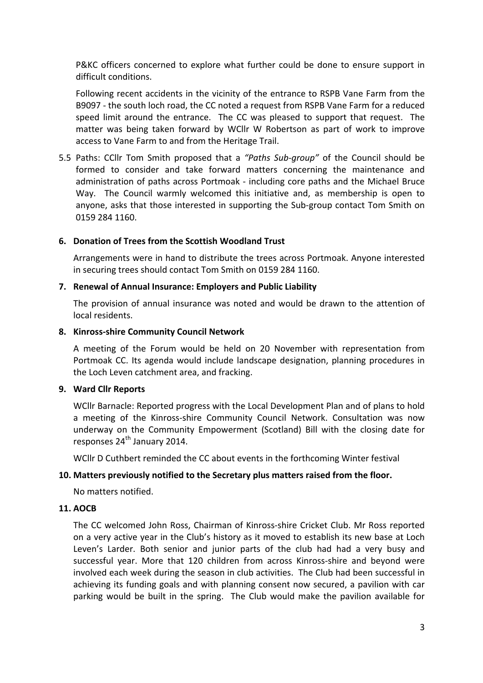P&KC officers concerned to explore what further could be done to ensure support in difficult conditions.

Following recent accidents in the vicinity of the entrance to RSPB Vane Farm from the B9097 - the south loch road, the CC noted a request from RSPB Vane Farm for a reduced speed limit around the entrance. The CC was pleased to support that request. The matter was being taken forward by WCllr W Robertson as part of work to improve access to Vane Farm to and from the Heritage Trail.

5.5 Paths: CCllr Tom Smith proposed that a "Paths Sub-group" of the Council should be formed to consider and take forward matters concerning the maintenance and administration of paths across Portmoak - including core paths and the Michael Bruce Way. The Council warmly welcomed this initiative and, as membership is open to anyone, asks that those interested in supporting the Sub-group contact Tom Smith on 0159 284 1160. 

## **6. Donation of Trees from the Scottish Woodland Trust**

Arrangements were in hand to distribute the trees across Portmoak. Anyone interested in securing trees should contact Tom Smith on 0159 284 1160.

#### **7. Renewal of Annual Insurance: Employers and Public Liability**

The provision of annual insurance was noted and would be drawn to the attention of local residents.

#### **8. Kinross-shire Community Council Network**

A meeting of the Forum would be held on 20 November with representation from Portmoak CC. Its agenda would include landscape designation, planning procedures in the Loch Leven catchment area, and fracking.

#### **9. Ward Cllr Reports**

WCllr Barnacle: Reported progress with the Local Development Plan and of plans to hold a meeting of the Kinross-shire Community Council Network. Consultation was now underway on the Community Empowerment (Scotland) Bill with the closing date for responses 24<sup>th</sup> January 2014.

WCllr D Cuthbert reminded the CC about events in the forthcoming Winter festival

#### 10. Matters previously notified to the Secretary plus matters raised from the floor.

No matters notified.

#### **11. AOCB**

The CC welcomed John Ross, Chairman of Kinross-shire Cricket Club. Mr Ross reported on a very active year in the Club's history as it moved to establish its new base at Loch Leven's Larder. Both senior and junior parts of the club had had a very busy and successful year. More that 120 children from across Kinross-shire and beyond were involved each week during the season in club activities. The Club had been successful in achieving its funding goals and with planning consent now secured, a pavilion with car parking would be built in the spring. The Club would make the pavilion available for